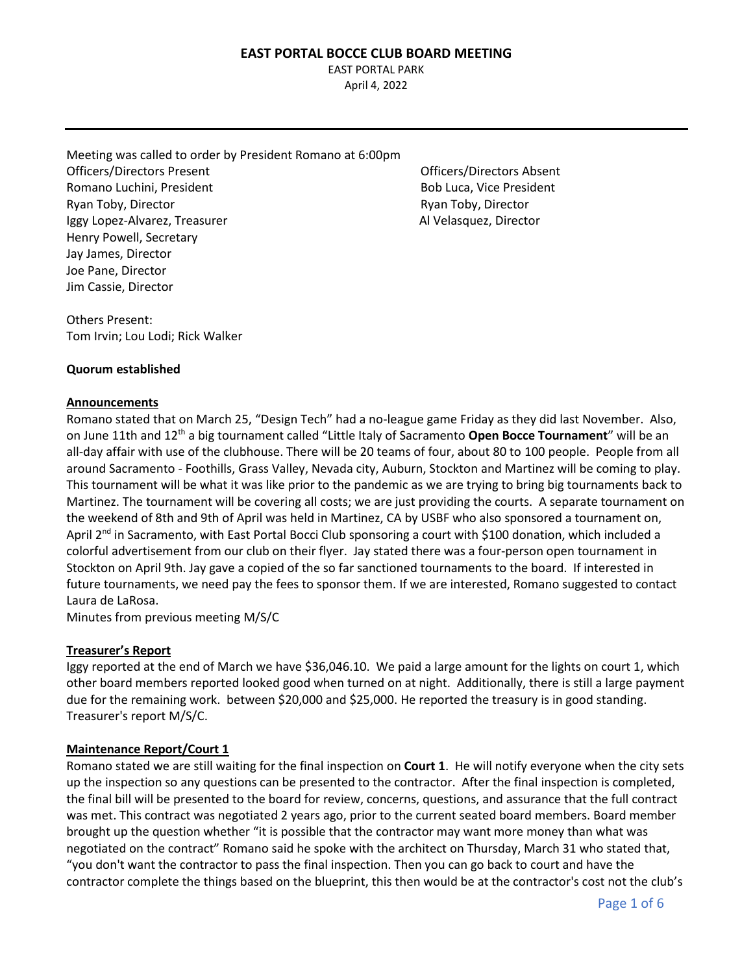EAST PORTAL PARK April 4, 2022

Meeting was called to order by President Romano at 6:00pm Officers/Directors Present Officers/Directors Absent Romano Luchini, President **Bob Luca, Cice President** Bob Luca, Vice President Ryan Toby, Director **Ryan Toby, Director** Ryan Toby, Director Iggy Lopez-Alvarez, Treasurer Allycones Al Velasquez, Director Henry Powell, Secretary Jay James, Director Joe Pane, Director Jim Cassie, Director

Others Present: Tom Irvin; Lou Lodi; Rick Walker

#### **Quorum established**

#### **Announcements**

Romano stated that on March 25, "Design Tech" had a no-league game Friday as they did last November. Also, on June 11th and 12th a big tournament called "Little Italy of Sacramento **Open Bocce Tournament**" will be an all-day affair with use of the clubhouse. There will be 20 teams of four, about 80 to 100 people. People from all around Sacramento - Foothills, Grass Valley, Nevada city, Auburn, Stockton and Martinez will be coming to play. This tournament will be what it was like prior to the pandemic as we are trying to bring big tournaments back to Martinez. The tournament will be covering all costs; we are just providing the courts. A separate tournament on the weekend of 8th and 9th of April was held in Martinez, CA by USBF who also sponsored a tournament on, April 2<sup>nd</sup> in Sacramento, with East Portal Bocci Club sponsoring a court with \$100 donation, which included a colorful advertisement from our club on their flyer. Jay stated there was a four-person open tournament in Stockton on April 9th. Jay gave a copied of the so far sanctioned tournaments to the board. If interested in future tournaments, we need pay the fees to sponsor them. If we are interested, Romano suggested to contact Laura de LaRosa.

Minutes from previous meeting M/S/C

#### **Treasurer's Report**

Iggy reported at the end of March we have \$36,046.10. We paid a large amount for the lights on court 1, which other board members reported looked good when turned on at night. Additionally, there is still a large payment due for the remaining work. between \$20,000 and \$25,000. He reported the treasury is in good standing. Treasurer's report M/S/C.

## **Maintenance Report/Court 1**

Romano stated we are still waiting for the final inspection on **Court 1**. He will notify everyone when the city sets up the inspection so any questions can be presented to the contractor. After the final inspection is completed, the final bill will be presented to the board for review, concerns, questions, and assurance that the full contract was met. This contract was negotiated 2 years ago, prior to the current seated board members. Board member brought up the question whether "it is possible that the contractor may want more money than what was negotiated on the contract" Romano said he spoke with the architect on Thursday, March 31 who stated that, "you don't want the contractor to pass the final inspection. Then you can go back to court and have the contractor complete the things based on the blueprint, this then would be at the contractor's cost not the club's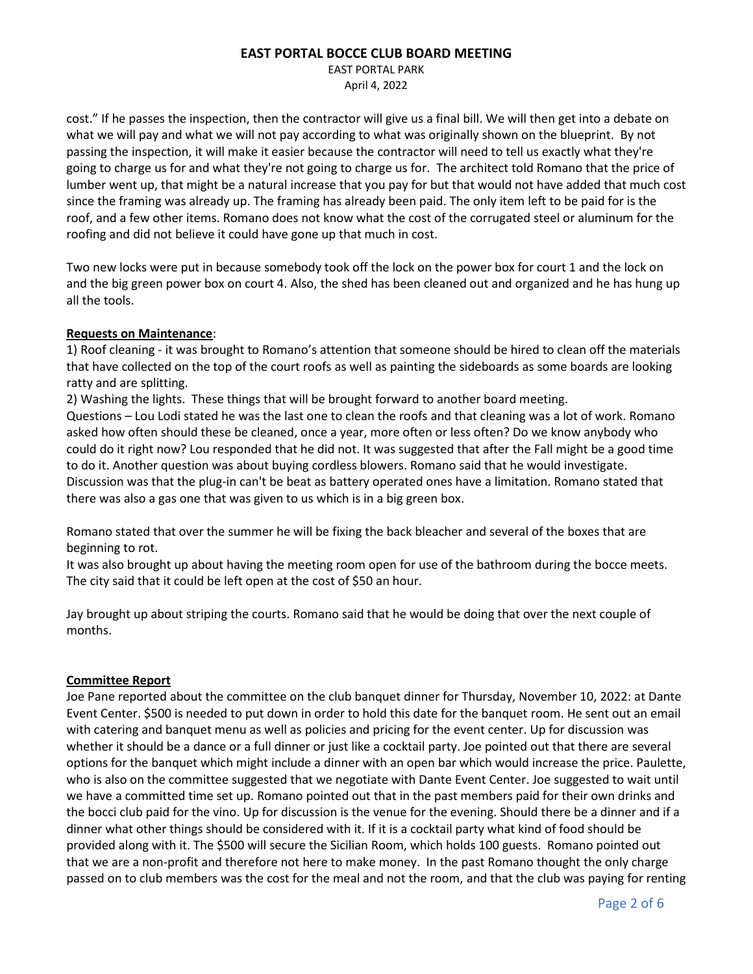EAST PORTAL PARK April 4, 2022

cost." If he passes the inspection, then the contractor will give us a final bill. We will then get into a debate on what we will pay and what we will not pay according to what was originally shown on the blueprint. By not passing the inspection, it will make it easier because the contractor will need to tell us exactly what they're going to charge us for and what they're not going to charge us for. The architect told Romano that the price of lumber went up, that might be a natural increase that you pay for but that would not have added that much cost since the framing was already up. The framing has already been paid. The only item left to be paid for is the roof, and a few other items. Romano does not know what the cost of the corrugated steel or aluminum for the roofing and did not believe it could have gone up that much in cost.

Two new locks were put in because somebody took off the lock on the power box for court 1 and the lock on and the big green power box on court 4. Also, the shed has been cleaned out and organized and he has hung up all the tools.

#### **Requests on Maintenance**:

1) Roof cleaning - it was brought to Romano's attention that someone should be hired to clean off the materials that have collected on the top of the court roofs as well as painting the sideboards as some boards are looking ratty and are splitting.

2) Washing the lights. These things that will be brought forward to another board meeting.

Questions – Lou Lodi stated he was the last one to clean the roofs and that cleaning was a lot of work. Romano asked how often should these be cleaned, once a year, more often or less often? Do we know anybody who could do it right now? Lou responded that he did not. It was suggested that after the Fall might be a good time to do it. Another question was about buying cordless blowers. Romano said that he would investigate. Discussion was that the plug-in can't be beat as battery operated ones have a limitation. Romano stated that there was also a gas one that was given to us which is in a big green box.

Romano stated that over the summer he will be fixing the back bleacher and several of the boxes that are beginning to rot.

It was also brought up about having the meeting room open for use of the bathroom during the bocce meets. The city said that it could be left open at the cost of \$50 an hour.

Jay brought up about striping the courts. Romano said that he would be doing that over the next couple of months.

## **Committee Report**

Joe Pane reported about the committee on the club banquet dinner for Thursday, November 10, 2022: at Dante Event Center. \$500 is needed to put down in order to hold this date for the banquet room. He sent out an email with catering and banquet menu as well as policies and pricing for the event center. Up for discussion was whether it should be a dance or a full dinner or just like a cocktail party. Joe pointed out that there are several options for the banquet which might include a dinner with an open bar which would increase the price. Paulette, who is also on the committee suggested that we negotiate with Dante Event Center. Joe suggested to wait until we have a committed time set up. Romano pointed out that in the past members paid for their own drinks and the bocci club paid for the vino. Up for discussion is the venue for the evening. Should there be a dinner and if a dinner what other things should be considered with it. If it is a cocktail party what kind of food should be provided along with it. The \$500 will secure the Sicilian Room, which holds 100 guests. Romano pointed out that we are a non-profit and therefore not here to make money. In the past Romano thought the only charge passed on to club members was the cost for the meal and not the room, and that the club was paying for renting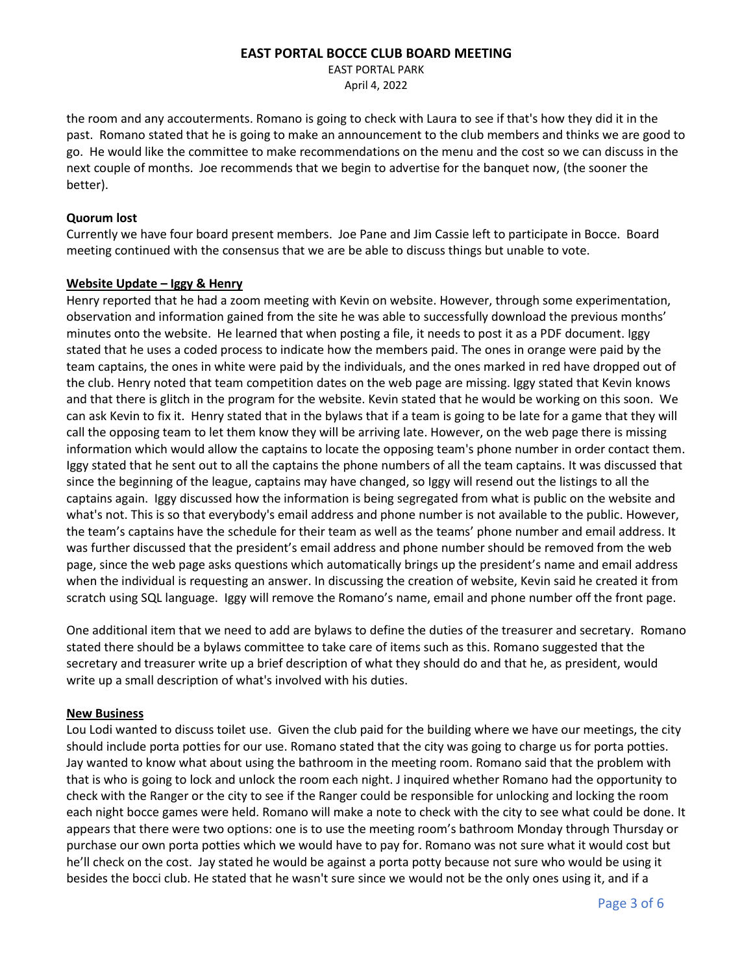EAST PORTAL PARK April 4, 2022

the room and any accouterments. Romano is going to check with Laura to see if that's how they did it in the past. Romano stated that he is going to make an announcement to the club members and thinks we are good to go. He would like the committee to make recommendations on the menu and the cost so we can discuss in the next couple of months. Joe recommends that we begin to advertise for the banquet now, (the sooner the better).

#### **Quorum lost**

Currently we have four board present members. Joe Pane and Jim Cassie left to participate in Bocce. Board meeting continued with the consensus that we are be able to discuss things but unable to vote.

#### **Website Update – Iggy & Henry**

Henry reported that he had a zoom meeting with Kevin on website. However, through some experimentation, observation and information gained from the site he was able to successfully download the previous months' minutes onto the website. He learned that when posting a file, it needs to post it as a PDF document. Iggy stated that he uses a coded process to indicate how the members paid. The ones in orange were paid by the team captains, the ones in white were paid by the individuals, and the ones marked in red have dropped out of the club. Henry noted that team competition dates on the web page are missing. Iggy stated that Kevin knows and that there is glitch in the program for the website. Kevin stated that he would be working on this soon. We can ask Kevin to fix it. Henry stated that in the bylaws that if a team is going to be late for a game that they will call the opposing team to let them know they will be arriving late. However, on the web page there is missing information which would allow the captains to locate the opposing team's phone number in order contact them. Iggy stated that he sent out to all the captains the phone numbers of all the team captains. It was discussed that since the beginning of the league, captains may have changed, so Iggy will resend out the listings to all the captains again. Iggy discussed how the information is being segregated from what is public on the website and what's not. This is so that everybody's email address and phone number is not available to the public. However, the team's captains have the schedule for their team as well as the teams' phone number and email address. It was further discussed that the president's email address and phone number should be removed from the web page, since the web page asks questions which automatically brings up the president's name and email address when the individual is requesting an answer. In discussing the creation of website, Kevin said he created it from scratch using SQL language. Iggy will remove the Romano's name, email and phone number off the front page.

One additional item that we need to add are bylaws to define the duties of the treasurer and secretary. Romano stated there should be a bylaws committee to take care of items such as this. Romano suggested that the secretary and treasurer write up a brief description of what they should do and that he, as president, would write up a small description of what's involved with his duties.

## **New Business**

Lou Lodi wanted to discuss toilet use. Given the club paid for the building where we have our meetings, the city should include porta potties for our use. Romano stated that the city was going to charge us for porta potties. Jay wanted to know what about using the bathroom in the meeting room. Romano said that the problem with that is who is going to lock and unlock the room each night. J inquired whether Romano had the opportunity to check with the Ranger or the city to see if the Ranger could be responsible for unlocking and locking the room each night bocce games were held. Romano will make a note to check with the city to see what could be done. It appears that there were two options: one is to use the meeting room's bathroom Monday through Thursday or purchase our own porta potties which we would have to pay for. Romano was not sure what it would cost but he'll check on the cost. Jay stated he would be against a porta potty because not sure who would be using it besides the bocci club. He stated that he wasn't sure since we would not be the only ones using it, and if a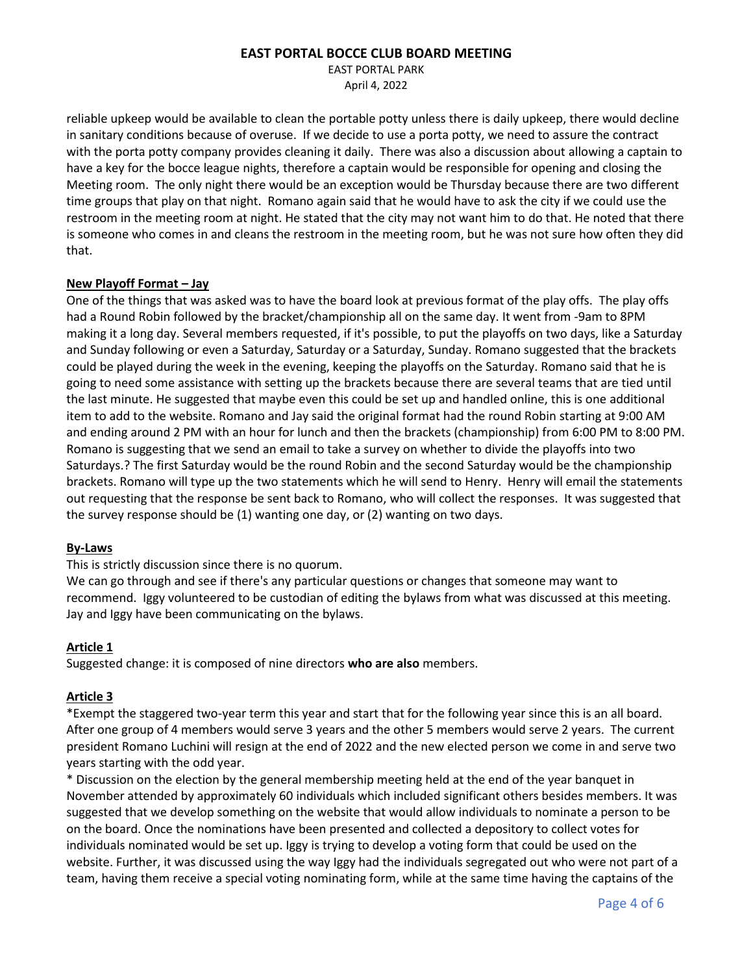EAST PORTAL PARK April 4, 2022

reliable upkeep would be available to clean the portable potty unless there is daily upkeep, there would decline in sanitary conditions because of overuse. If we decide to use a porta potty, we need to assure the contract with the porta potty company provides cleaning it daily. There was also a discussion about allowing a captain to have a key for the bocce league nights, therefore a captain would be responsible for opening and closing the Meeting room. The only night there would be an exception would be Thursday because there are two different time groups that play on that night. Romano again said that he would have to ask the city if we could use the restroom in the meeting room at night. He stated that the city may not want him to do that. He noted that there is someone who comes in and cleans the restroom in the meeting room, but he was not sure how often they did that.

#### **New Playoff Format – Jay**

One of the things that was asked was to have the board look at previous format of the play offs. The play offs had a Round Robin followed by the bracket/championship all on the same day. It went from -9am to 8PM making it a long day. Several members requested, if it's possible, to put the playoffs on two days, like a Saturday and Sunday following or even a Saturday, Saturday or a Saturday, Sunday. Romano suggested that the brackets could be played during the week in the evening, keeping the playoffs on the Saturday. Romano said that he is going to need some assistance with setting up the brackets because there are several teams that are tied until the last minute. He suggested that maybe even this could be set up and handled online, this is one additional item to add to the website. Romano and Jay said the original format had the round Robin starting at 9:00 AM and ending around 2 PM with an hour for lunch and then the brackets (championship) from 6:00 PM to 8:00 PM. Romano is suggesting that we send an email to take a survey on whether to divide the playoffs into two Saturdays.? The first Saturday would be the round Robin and the second Saturday would be the championship brackets. Romano will type up the two statements which he will send to Henry. Henry will email the statements out requesting that the response be sent back to Romano, who will collect the responses. It was suggested that the survey response should be (1) wanting one day, or (2) wanting on two days.

#### **By-Laws**

This is strictly discussion since there is no quorum.

We can go through and see if there's any particular questions or changes that someone may want to recommend. Iggy volunteered to be custodian of editing the bylaws from what was discussed at this meeting. Jay and Iggy have been communicating on the bylaws.

## **Article 1**

Suggested change: it is composed of nine directors **who are also** members.

## **Article 3**

\*Exempt the staggered two-year term this year and start that for the following year since this is an all board. After one group of 4 members would serve 3 years and the other 5 members would serve 2 years. The current president Romano Luchini will resign at the end of 2022 and the new elected person we come in and serve two years starting with the odd year.

\* Discussion on the election by the general membership meeting held at the end of the year banquet in November attended by approximately 60 individuals which included significant others besides members. It was suggested that we develop something on the website that would allow individuals to nominate a person to be on the board. Once the nominations have been presented and collected a depository to collect votes for individuals nominated would be set up. Iggy is trying to develop a voting form that could be used on the website. Further, it was discussed using the way Iggy had the individuals segregated out who were not part of a team, having them receive a special voting nominating form, while at the same time having the captains of the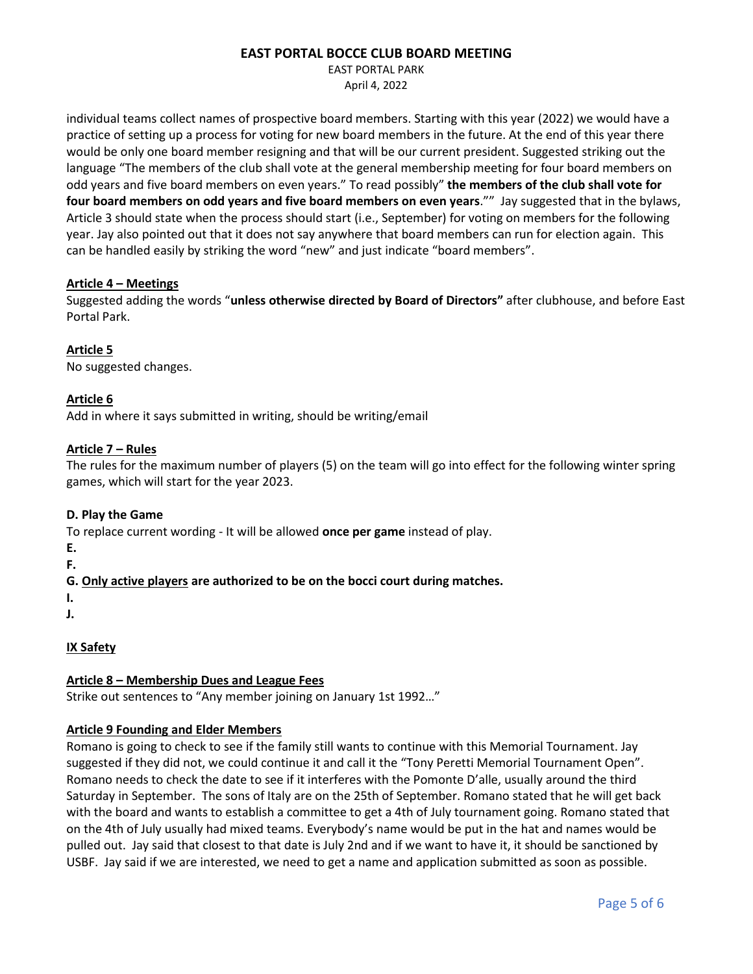EAST PORTAL PARK April 4, 2022

individual teams collect names of prospective board members. Starting with this year (2022) we would have a practice of setting up a process for voting for new board members in the future. At the end of this year there would be only one board member resigning and that will be our current president. Suggested striking out the language "The members of the club shall vote at the general membership meeting for four board members on odd years and five board members on even years." To read possibly" **the members of the club shall vote for four board members on odd years and five board members on even years**."" Jay suggested that in the bylaws, Article 3 should state when the process should start (i.e., September) for voting on members for the following year. Jay also pointed out that it does not say anywhere that board members can run for election again. This can be handled easily by striking the word "new" and just indicate "board members".

#### **Article 4 – Meetings**

Suggested adding the words "**unless otherwise directed by Board of Directors"** after clubhouse, and before East Portal Park.

**Article 5** No suggested changes.

## **Article 6**

Add in where it says submitted in writing, should be writing/email

#### **Article 7 – Rules**

The rules for the maximum number of players (5) on the team will go into effect for the following winter spring games, which will start for the year 2023.

## **D. Play the Game**

To replace current wording - It will be allowed **once per game** instead of play.

**E.**

**F.**

# **G. Only active players are authorized to be on the bocci court during matches.**

**I.**

**J.**

# **IX Safety**

## **Article 8 – Membership Dues and League Fees**

Strike out sentences to "Any member joining on January 1st 1992…"

## **Article 9 Founding and Elder Members**

Romano is going to check to see if the family still wants to continue with this Memorial Tournament. Jay suggested if they did not, we could continue it and call it the "Tony Peretti Memorial Tournament Open". Romano needs to check the date to see if it interferes with the Pomonte D'alle, usually around the third Saturday in September. The sons of Italy are on the 25th of September. Romano stated that he will get back with the board and wants to establish a committee to get a 4th of July tournament going. Romano stated that on the 4th of July usually had mixed teams. Everybody's name would be put in the hat and names would be pulled out. Jay said that closest to that date is July 2nd and if we want to have it, it should be sanctioned by USBF. Jay said if we are interested, we need to get a name and application submitted as soon as possible.